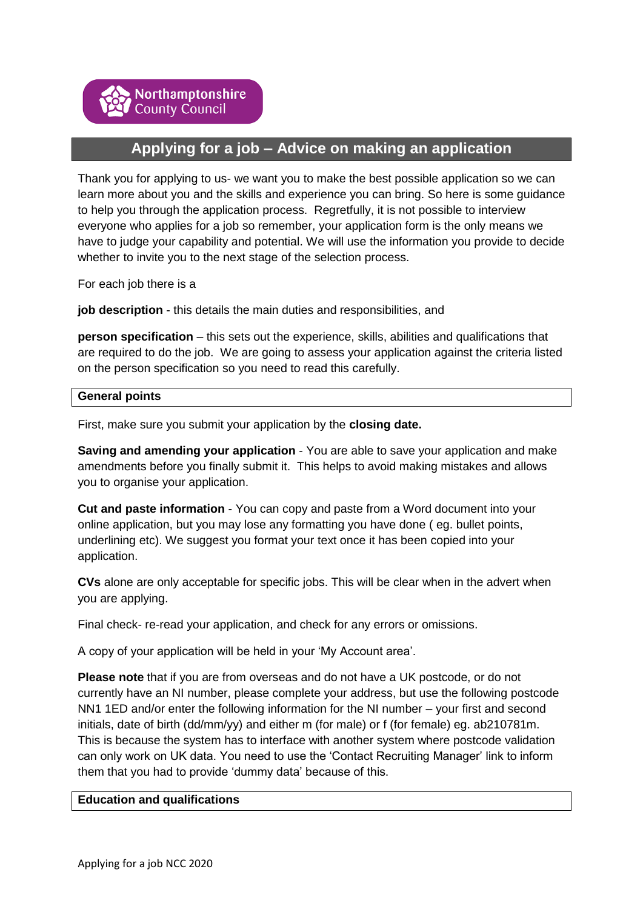# **Applying for a job – Advice on making an application**

Thank you for applying to us- we want you to make the best possible application so we can learn more about you and the skills and experience you can bring. So here is some guidance to help you through the application process. Regretfully, it is not possible to interview everyone who applies for a job so remember, your application form is the only means we have to judge your capability and potential. We will use the information you provide to decide whether to invite you to the next stage of the selection process.

For each job there is a

**job description** - this details the main duties and responsibilities, and

**person specification** – this sets out the experience, skills, abilities and qualifications that are required to do the job. We are going to assess your application against the criteria listed on the person specification so you need to read this carefully.

#### **General points**

First, make sure you submit your application by the **closing date.**

**Saving and amending your application** - You are able to save your application and make amendments before you finally submit it. This helps to avoid making mistakes and allows you to organise your application.

**Cut and paste information** - You can copy and paste from a Word document into your online application, but you may lose any formatting you have done ( eg. bullet points, underlining etc). We suggest you format your text once it has been copied into your application.

**CVs** alone are only acceptable for specific jobs. This will be clear when in the advert when you are applying.

Final check- re-read your application, and check for any errors or omissions.

A copy of your application will be held in your 'My Account area'.

**Please note** that if you are from overseas and do not have a UK postcode, or do not currently have an NI number, please complete your address, but use the following postcode NN1 1ED and/or enter the following information for the NI number – your first and second initials, date of birth (dd/mm/yy) and either m (for male) or f (for female) eg. ab210781m. This is because the system has to interface with another system where postcode validation can only work on UK data. You need to use the 'Contact Recruiting Manager' link to inform them that you had to provide 'dummy data' because of this.

#### **Education and qualifications**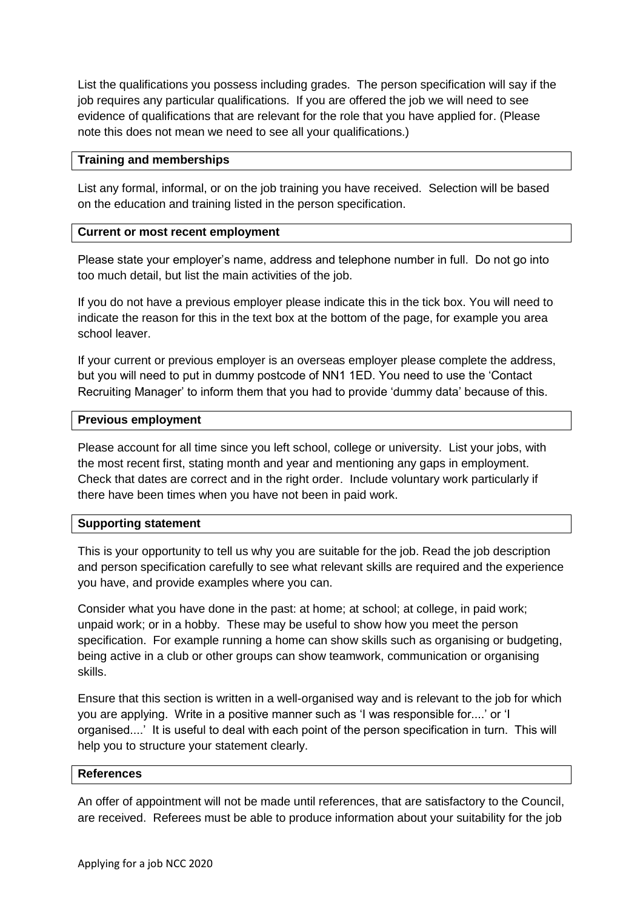List the qualifications you possess including grades. The person specification will say if the job requires any particular qualifications. If you are offered the job we will need to see evidence of qualifications that are relevant for the role that you have applied for. (Please note this does not mean we need to see all your qualifications.)

#### **Training and memberships**

List any formal, informal, or on the job training you have received. Selection will be based on the education and training listed in the person specification.

#### **Current or most recent employment**

Please state your employer's name, address and telephone number in full. Do not go into too much detail, but list the main activities of the job.

If you do not have a previous employer please indicate this in the tick box. You will need to indicate the reason for this in the text box at the bottom of the page, for example you area school leaver.

If your current or previous employer is an overseas employer please complete the address, but you will need to put in dummy postcode of NN1 1ED. You need to use the 'Contact Recruiting Manager' to inform them that you had to provide 'dummy data' because of this.

#### **Previous employment**

Please account for all time since you left school, college or university. List your jobs, with the most recent first, stating month and year and mentioning any gaps in employment. Check that dates are correct and in the right order. Include voluntary work particularly if there have been times when you have not been in paid work.

# **Supporting statement**

This is your opportunity to tell us why you are suitable for the job. Read the job description and person specification carefully to see what relevant skills are required and the experience you have, and provide examples where you can.

Consider what you have done in the past: at home; at school; at college, in paid work; unpaid work; or in a hobby. These may be useful to show how you meet the person specification. For example running a home can show skills such as organising or budgeting, being active in a club or other groups can show teamwork, communication or organising skills.

Ensure that this section is written in a well-organised way and is relevant to the job for which you are applying. Write in a positive manner such as 'I was responsible for....' or 'I organised....' It is useful to deal with each point of the person specification in turn. This will help you to structure your statement clearly.

#### **References**

An offer of appointment will not be made until references, that are satisfactory to the Council, are received. Referees must be able to produce information about your suitability for the job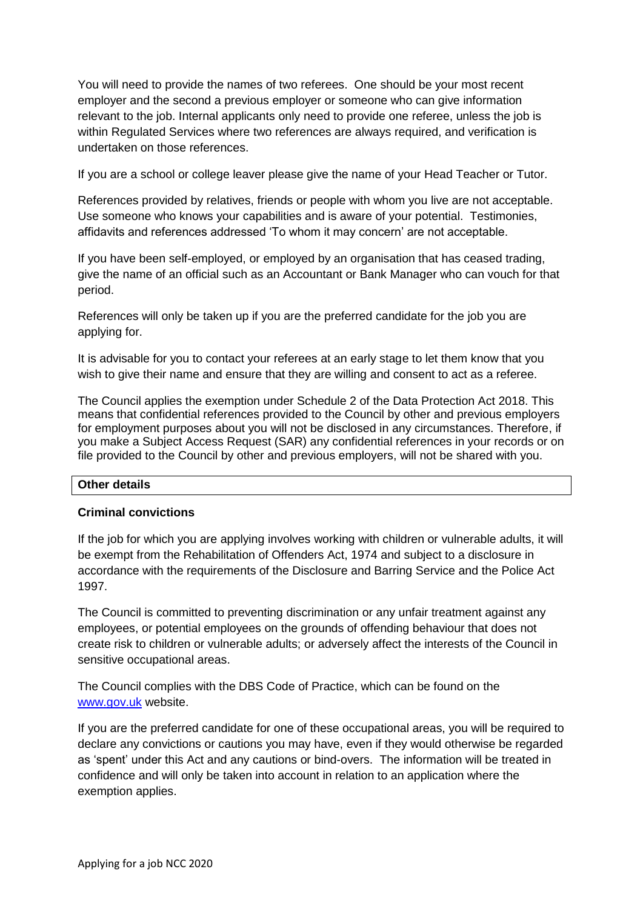You will need to provide the names of two referees. One should be your most recent employer and the second a previous employer or someone who can give information relevant to the job. Internal applicants only need to provide one referee, unless the job is within Regulated Services where two references are always required, and verification is undertaken on those references.

If you are a school or college leaver please give the name of your Head Teacher or Tutor.

References provided by relatives, friends or people with whom you live are not acceptable. Use someone who knows your capabilities and is aware of your potential. Testimonies, affidavits and references addressed 'To whom it may concern' are not acceptable.

If you have been self-employed, or employed by an organisation that has ceased trading, give the name of an official such as an Accountant or Bank Manager who can vouch for that period.

References will only be taken up if you are the preferred candidate for the job you are applying for.

It is advisable for you to contact your referees at an early stage to let them know that you wish to give their name and ensure that they are willing and consent to act as a referee.

The Council applies the exemption under Schedule 2 of the Data Protection Act 2018. This means that confidential references provided to the Council by other and previous employers for employment purposes about you will not be disclosed in any circumstances. Therefore, if you make a Subject Access Request (SAR) any confidential references in your records or on file provided to the Council by other and previous employers, will not be shared with you.

# **Other details**

# **Criminal convictions**

If the job for which you are applying involves working with children or vulnerable adults, it will be exempt from the Rehabilitation of Offenders Act, 1974 and subject to a disclosure in accordance with the requirements of the Disclosure and Barring Service and the Police Act 1997.

The Council is committed to preventing discrimination or any unfair treatment against any employees, or potential employees on the grounds of offending behaviour that does not create risk to children or vulnerable adults; or adversely affect the interests of the Council in sensitive occupational areas.

The Council complies with the DBS Code of Practice, which can be found on the [www.gov.uk](http://www.gov.uk/) website.

If you are the preferred candidate for one of these occupational areas, you will be required to declare any convictions or cautions you may have, even if they would otherwise be regarded as 'spent' under this Act and any cautions or bind-overs. The information will be treated in confidence and will only be taken into account in relation to an application where the exemption applies.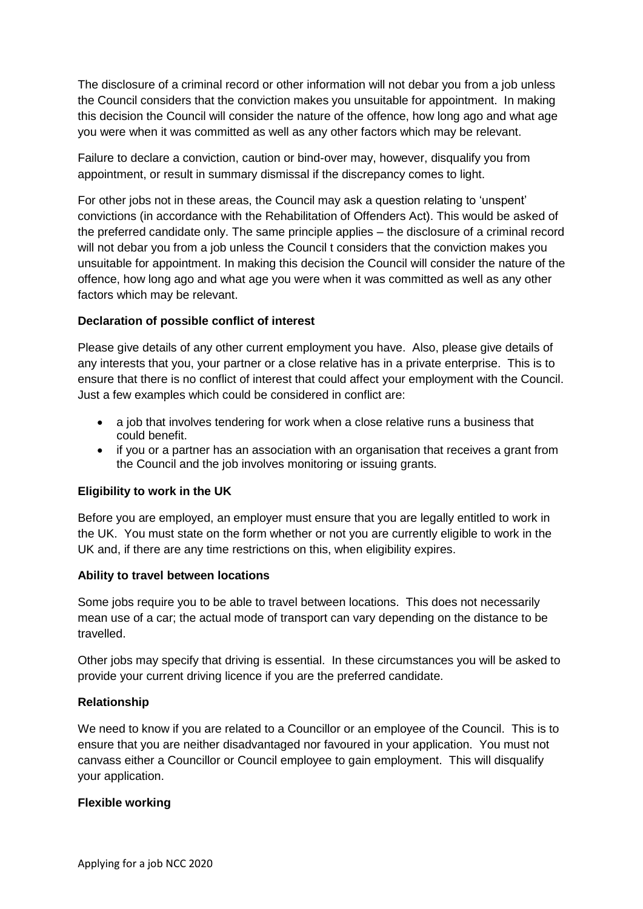The disclosure of a criminal record or other information will not debar you from a job unless the Council considers that the conviction makes you unsuitable for appointment. In making this decision the Council will consider the nature of the offence, how long ago and what age you were when it was committed as well as any other factors which may be relevant.

Failure to declare a conviction, caution or bind-over may, however, disqualify you from appointment, or result in summary dismissal if the discrepancy comes to light.

For other jobs not in these areas, the Council may ask a question relating to 'unspent' convictions (in accordance with the Rehabilitation of Offenders Act). This would be asked of the preferred candidate only. The same principle applies – the disclosure of a criminal record will not debar you from a job unless the Council t considers that the conviction makes you unsuitable for appointment. In making this decision the Council will consider the nature of the offence, how long ago and what age you were when it was committed as well as any other factors which may be relevant.

# **Declaration of possible conflict of interest**

Please give details of any other current employment you have. Also, please give details of any interests that you, your partner or a close relative has in a private enterprise. This is to ensure that there is no conflict of interest that could affect your employment with the Council. Just a few examples which could be considered in conflict are:

- a job that involves tendering for work when a close relative runs a business that could benefit.
- if you or a partner has an association with an organisation that receives a grant from the Council and the job involves monitoring or issuing grants.

# **Eligibility to work in the UK**

Before you are employed, an employer must ensure that you are legally entitled to work in the UK. You must state on the form whether or not you are currently eligible to work in the UK and, if there are any time restrictions on this, when eligibility expires.

# **Ability to travel between locations**

Some jobs require you to be able to travel between locations. This does not necessarily mean use of a car; the actual mode of transport can vary depending on the distance to be travelled.

Other jobs may specify that driving is essential. In these circumstances you will be asked to provide your current driving licence if you are the preferred candidate.

# **Relationship**

We need to know if you are related to a Councillor or an employee of the Council. This is to ensure that you are neither disadvantaged nor favoured in your application. You must not canvass either a Councillor or Council employee to gain employment. This will disqualify your application.

# **Flexible working**